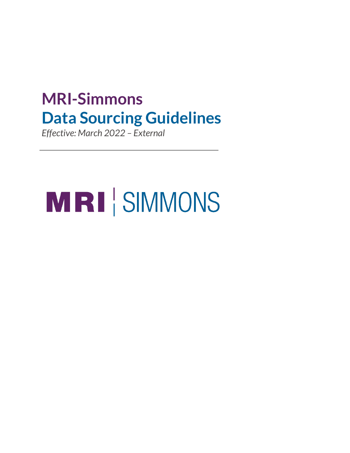# **MRI-Simmons Data Sourcing Guidelines**

*Effective: March 2022 – External*

# MRI SIMMONS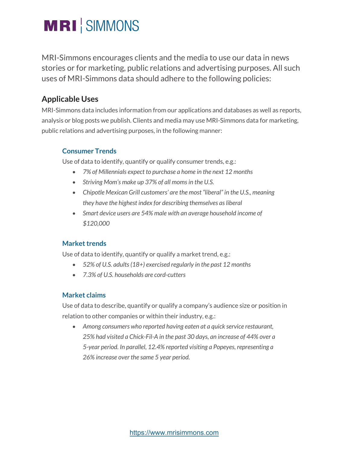# **MRI** SIMMONS

MRI-Simmons encourages clients and the media to use our data in news stories or for marketing, public relations and advertising purposes. All such uses of MRI-Simmons data should adhere to the following policies:

## **Applicable Uses**

MRI-Simmons data includes information from our applications and databases as well as reports, analysis or blog posts we publish. Clients and media may use MRI-Simmons data for marketing, public relations and advertising purposes, in the following manner:

#### **Consumer Trends**

Use of data to identify, quantify or qualify consumer trends, e.g.:

- *7% of Millennials expect to purchase a home in the next 12 months*
- *Striving Mom's make up 37% of all moms in the U.S.*
- *Chipotle Mexican Grill customers' are the most "liberal" in the U.S., meaning they have the highest index for describing themselves as liberal*
- *Smart device users are 54% male with an average household income of \$120,000*

#### **Market trends**

Use of data to identify, quantify or qualify a market trend, e.g.:

- *52% of U.S. adults (18+) exercised regularly in the past 12 months*
- *7.3% of U.S. households are cord-cutters*

#### **Market claims**

Use of data to describe, quantify or qualify a company's audience size or position in relation to other companies or within their industry, e.g.:

• *Among consumers who reported having eaten at a quick service restaurant, 25% had visited a Chick-Fil-A in the past 30 days, an increase of 44% over a 5-year period. In parallel, 12.4% reported visiting a Popeyes, representing a 26% increase over the same 5 year period.*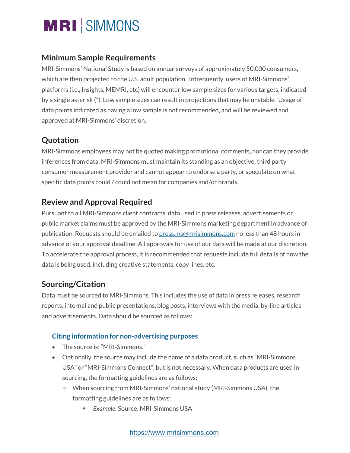

### **Minimum Sample Requirements**

MRI-Simmons' National Study is based on annual surveys of approximately 50,000 consumers, which are then projected to the U.S. adult population. Infrequently, users of MRI-Simmons' platforms (i.e., Insights, MEMRI, etc) will encounter low sample sizes for various targets, indicated by a single asterisk (\*). Low sample sizes can result in projections that may be unstable. Usage of data points indicated as having a low sample is not recommended, and will be reviewed and approved at MRI-Simmons' discretion.

## **Quotation**

MRI-Simmons employees may not be quoted making promotional comments, nor can they provide inferences from data. MRI-Simmons must maintain its standing as an objective, third party consumer measurement provider and cannot appear to endorse a party, or speculate on what specific data points could / could not mean for companies and/or brands.

# **Review and Approval Required**

Pursuant to all MRI-Simmons client contracts, data used in press releases, advertisements or public market claims must be approved by the MRI-Simmons marketing department in advance of publication. Requests should be emailed to press.ms@mrisimmons.com no less than 48 hours in advance of your approval deadline. All approvals for use of our data will be made at our discretion. To accelerate the approval process, it is recommended that requests include full details of how the data is being used, including creative statements, copy lines, etc.

## **Sourcing/Citation**

Data must be sourced to MRI-Simmons. This includes the use of data in press releases, research reports, internal and public presentations, blog posts, interviews with the media, by-line articles and advertisements. Data should be sourced as follows:

#### **Citing information for non-advertising purposes**

- The source is: "MRI-Simmons."
- Optionally, the source may include the name of a data product, such as "MRI-Simmons USA" or "MRI-Simmons Connect", but is not necessary. When data products are used in sourcing, the formatting guidelines are as follows:
	- o When sourcing from MRI-Simmons' national study (MRI-Simmons USA), the formatting guidelines are as follows:
		- § *Example*: Source: MRI-Simmons USA